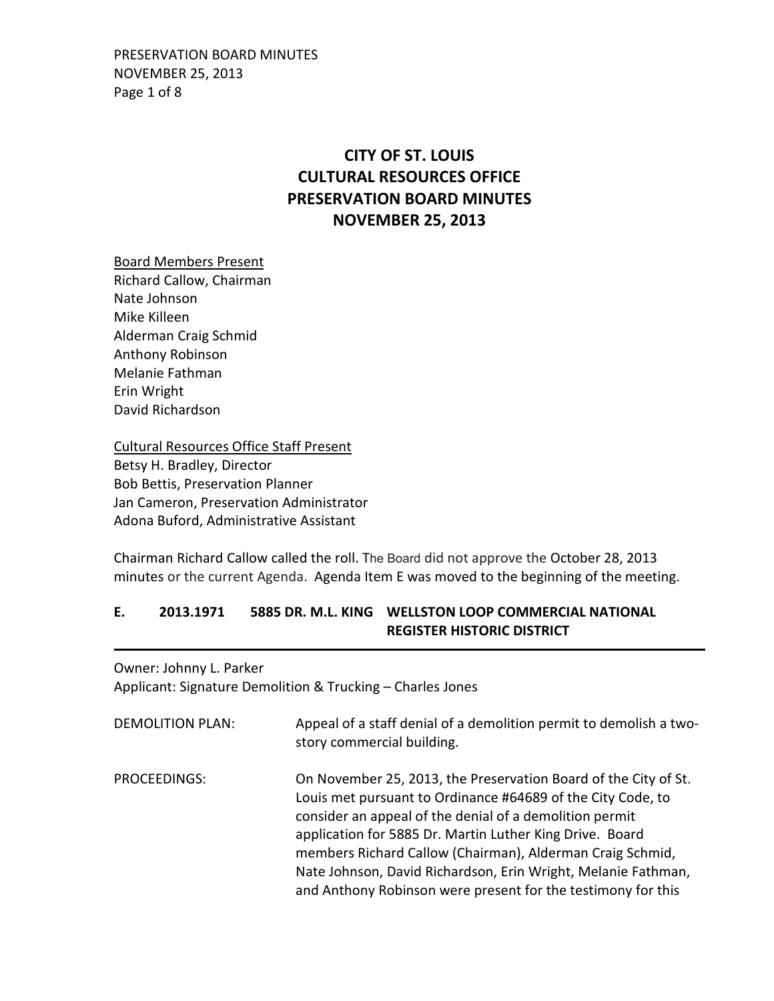PRESERVATION BOARD MINUTES NOVEMBER 25, 2013 Page 1 of 8

# **CITY OF ST. LOUIS CULTURAL RESOURCES OFFICE PRESERVATION BOARD MINUTES NOVEMBER 25, 2013**

Board Members Present Richard Callow, Chairman Nate Johnson Mike Killeen Alderman Craig Schmid Anthony Robinson Melanie Fathman Erin Wright David Richardson

Cultural Resources Office Staff Present Betsy H. Bradley, Director Bob Bettis, Preservation Planner Jan Cameron, Preservation Administrator Adona Buford, Administrative Assistant

Chairman Richard Callow called the roll. The Board did not approve the October 28, 2013 minutes or the current Agenda. Agenda Item E was moved to the beginning of the meeting.

### **E. 2013.1971 5885 DR. M.L. KING WELLSTON LOOP COMMERCIAL NATIONAL REGISTER HISTORIC DISTRICT**

Owner: Johnny L. Parker Applicant: Signature Demolition & Trucking – Charles Jones

| <b>DEMOLITION PLAN:</b> | Appeal of a staff denial of a demolition permit to demolish a two-<br>story commercial building.                                                                                                                                                                                                                                                                                                                                                    |
|-------------------------|-----------------------------------------------------------------------------------------------------------------------------------------------------------------------------------------------------------------------------------------------------------------------------------------------------------------------------------------------------------------------------------------------------------------------------------------------------|
| PROCEEDINGS:            | On November 25, 2013, the Preservation Board of the City of St.<br>Louis met pursuant to Ordinance #64689 of the City Code, to<br>consider an appeal of the denial of a demolition permit<br>application for 5885 Dr. Martin Luther King Drive. Board<br>members Richard Callow (Chairman), Alderman Craig Schmid,<br>Nate Johnson, David Richardson, Erin Wright, Melanie Fathman,<br>and Anthony Robinson were present for the testimony for this |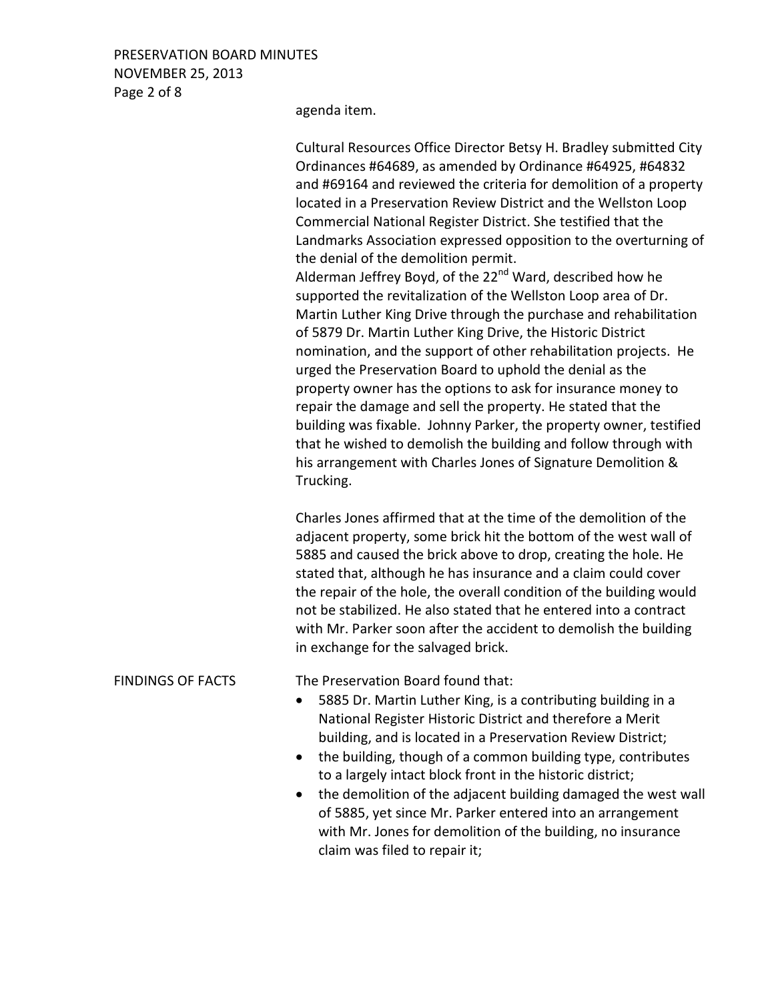### PRESERVATION BOARD MINUTES NOVEMBER 25, 2013 Page 2 of 8

agenda item.

|                          | Cultural Resources Office Director Betsy H. Bradley submitted City<br>Ordinances #64689, as amended by Ordinance #64925, #64832<br>and #69164 and reviewed the criteria for demolition of a property<br>located in a Preservation Review District and the Wellston Loop<br>Commercial National Register District. She testified that the<br>Landmarks Association expressed opposition to the overturning of<br>the denial of the demolition permit.<br>Alderman Jeffrey Boyd, of the 22 <sup>nd</sup> Ward, described how he<br>supported the revitalization of the Wellston Loop area of Dr.<br>Martin Luther King Drive through the purchase and rehabilitation<br>of 5879 Dr. Martin Luther King Drive, the Historic District<br>nomination, and the support of other rehabilitation projects. He<br>urged the Preservation Board to uphold the denial as the<br>property owner has the options to ask for insurance money to<br>repair the damage and sell the property. He stated that the<br>building was fixable. Johnny Parker, the property owner, testified<br>that he wished to demolish the building and follow through with<br>his arrangement with Charles Jones of Signature Demolition &<br>Trucking. |
|--------------------------|------------------------------------------------------------------------------------------------------------------------------------------------------------------------------------------------------------------------------------------------------------------------------------------------------------------------------------------------------------------------------------------------------------------------------------------------------------------------------------------------------------------------------------------------------------------------------------------------------------------------------------------------------------------------------------------------------------------------------------------------------------------------------------------------------------------------------------------------------------------------------------------------------------------------------------------------------------------------------------------------------------------------------------------------------------------------------------------------------------------------------------------------------------------------------------------------------------------------|
|                          | Charles Jones affirmed that at the time of the demolition of the<br>adjacent property, some brick hit the bottom of the west wall of<br>5885 and caused the brick above to drop, creating the hole. He<br>stated that, although he has insurance and a claim could cover<br>the repair of the hole, the overall condition of the building would<br>not be stabilized. He also stated that he entered into a contract<br>with Mr. Parker soon after the accident to demolish the building<br>in exchange for the salvaged brick.                                                                                                                                                                                                                                                                                                                                                                                                                                                                                                                                                                                                                                                                                        |
| <b>FINDINGS OF FACTS</b> | The Preservation Board found that:<br>5885 Dr. Martin Luther King, is a contributing building in a<br>National Register Historic District and therefore a Merit<br>building, and is located in a Preservation Review District;                                                                                                                                                                                                                                                                                                                                                                                                                                                                                                                                                                                                                                                                                                                                                                                                                                                                                                                                                                                         |

- the building, though of a common building type, contributes to a largely intact block front in the historic district;
- the demolition of the adjacent building damaged the west wall of 5885, yet since Mr. Parker entered into an arrangement with Mr. Jones for demolition of the building, no insurance claim was filed to repair it;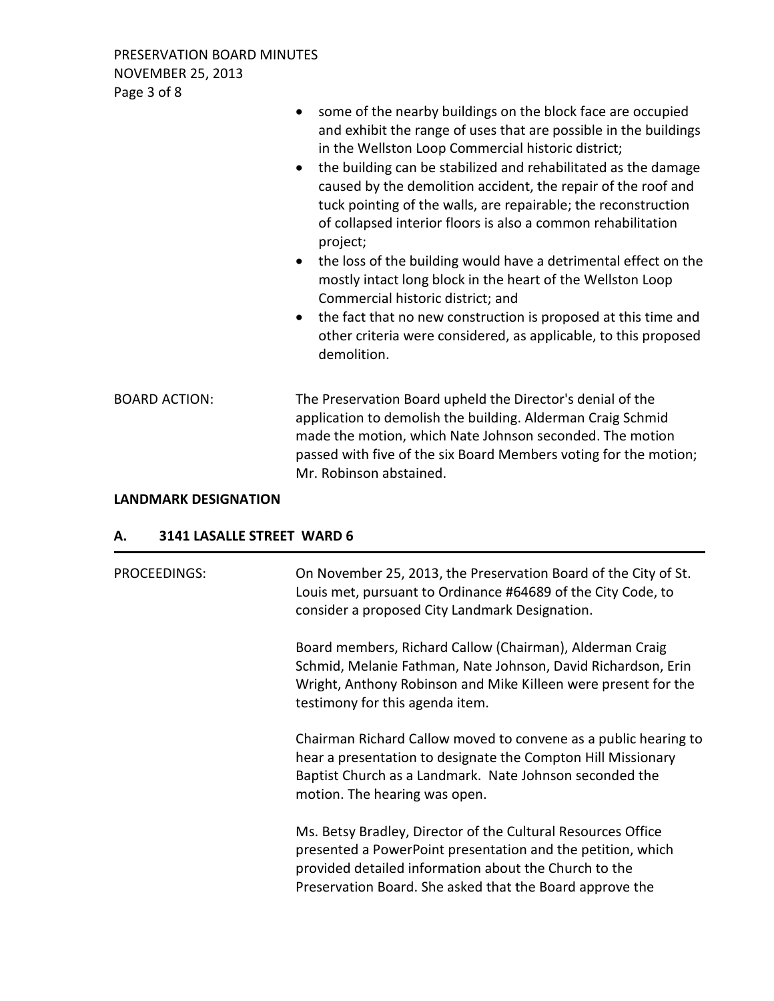PRESERVATION BOARD MINUTES NOVEMBER 25, 2013 Page 3 of 8

|                      | some of the nearby buildings on the block face are occupied<br>$\bullet$<br>and exhibit the range of uses that are possible in the buildings<br>in the Wellston Loop Commercial historic district;<br>the building can be stabilized and rehabilitated as the damage<br>$\bullet$<br>caused by the demolition accident, the repair of the roof and<br>tuck pointing of the walls, are repairable; the reconstruction<br>of collapsed interior floors is also a common rehabilitation<br>project;<br>the loss of the building would have a detrimental effect on the<br>$\bullet$<br>mostly intact long block in the heart of the Wellston Loop<br>Commercial historic district; and<br>the fact that no new construction is proposed at this time and<br>$\bullet$<br>other criteria were considered, as applicable, to this proposed<br>demolition. |
|----------------------|------------------------------------------------------------------------------------------------------------------------------------------------------------------------------------------------------------------------------------------------------------------------------------------------------------------------------------------------------------------------------------------------------------------------------------------------------------------------------------------------------------------------------------------------------------------------------------------------------------------------------------------------------------------------------------------------------------------------------------------------------------------------------------------------------------------------------------------------------|
| <b>BOARD ACTION:</b> | The Preservation Board upheld the Director's denial of the<br>application to demolish the building. Alderman Craig Schmid<br>made the motion, which Nate Johnson seconded. The motion<br>passed with five of the six Board Members voting for the motion;<br>Mr. Robinson abstained.                                                                                                                                                                                                                                                                                                                                                                                                                                                                                                                                                                 |

#### **LANDMARK DESIGNATION**

#### **A. 3141 LASALLE STREET WARD 6**

| <b>PROCEEDINGS:</b> | On November 25, 2013, the Preservation Board of the City of St.<br>Louis met, pursuant to Ordinance #64689 of the City Code, to<br>consider a proposed City Landmark Designation.                                                                |
|---------------------|--------------------------------------------------------------------------------------------------------------------------------------------------------------------------------------------------------------------------------------------------|
|                     | Board members, Richard Callow (Chairman), Alderman Craig<br>Schmid, Melanie Fathman, Nate Johnson, David Richardson, Erin<br>Wright, Anthony Robinson and Mike Killeen were present for the<br>testimony for this agenda item.                   |
|                     | Chairman Richard Callow moved to convene as a public hearing to<br>hear a presentation to designate the Compton Hill Missionary<br>Baptist Church as a Landmark. Nate Johnson seconded the<br>motion. The hearing was open.                      |
|                     | Ms. Betsy Bradley, Director of the Cultural Resources Office<br>presented a PowerPoint presentation and the petition, which<br>provided detailed information about the Church to the<br>Preservation Board. She asked that the Board approve the |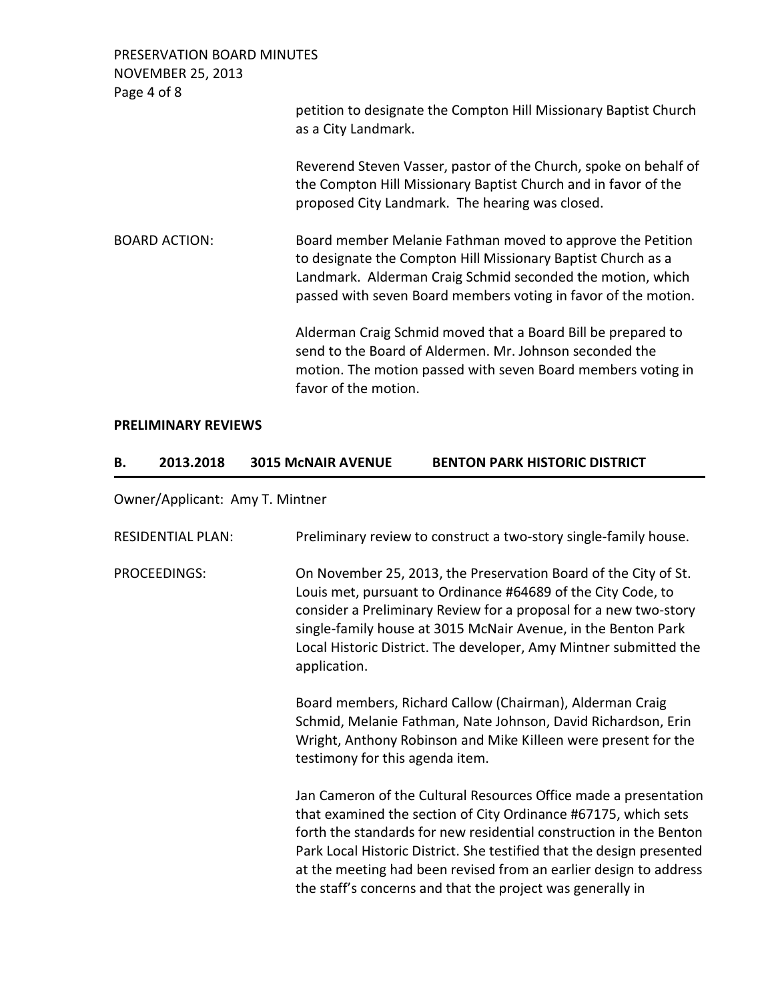PRESERVATION BOARD MINUTES NOVEMBER 25, 2013 Page 4 of 8 petition to designate the Compton Hill Missionary Baptist Church as a City Landmark. Reverend Steven Vasser, pastor of the Church, spoke on behalf of the Compton Hill Missionary Baptist Church and in favor of the proposed City Landmark. The hearing was closed. BOARD ACTION: Board member Melanie Fathman moved to approve the Petition to designate the Compton Hill Missionary Baptist Church as a Landmark. Alderman Craig Schmid seconded the motion, which passed with seven Board members voting in favor of the motion. Alderman Craig Schmid moved that a Board Bill be prepared to send to the Board of Aldermen. Mr. Johnson seconded the motion. The motion passed with seven Board members voting in favor of the motion.

#### **PRELIMINARY REVIEWS**

| 2013.2018 | <b>3015 MCNAIR AVENUE</b> | <b>BENTON PARK HISTORIC DISTRICT</b> |
|-----------|---------------------------|--------------------------------------|
|           |                           |                                      |

Owner/Applicant: Amy T. Mintner

| <b>RESIDENTIAL PLAN:</b> | Preliminary review to construct a two-story single-family house.                                                                                                                                                                                                                                                                                                                                                     |
|--------------------------|----------------------------------------------------------------------------------------------------------------------------------------------------------------------------------------------------------------------------------------------------------------------------------------------------------------------------------------------------------------------------------------------------------------------|
| <b>PROCEEDINGS:</b>      | On November 25, 2013, the Preservation Board of the City of St.<br>Louis met, pursuant to Ordinance #64689 of the City Code, to<br>consider a Preliminary Review for a proposal for a new two-story<br>single-family house at 3015 McNair Avenue, in the Benton Park<br>Local Historic District. The developer, Amy Mintner submitted the<br>application.                                                            |
|                          | Board members, Richard Callow (Chairman), Alderman Craig<br>Schmid, Melanie Fathman, Nate Johnson, David Richardson, Erin<br>Wright, Anthony Robinson and Mike Killeen were present for the<br>testimony for this agenda item.                                                                                                                                                                                       |
|                          | Jan Cameron of the Cultural Resources Office made a presentation<br>that examined the section of City Ordinance #67175, which sets<br>forth the standards for new residential construction in the Benton<br>Park Local Historic District. She testified that the design presented<br>at the meeting had been revised from an earlier design to address<br>the staff's concerns and that the project was generally in |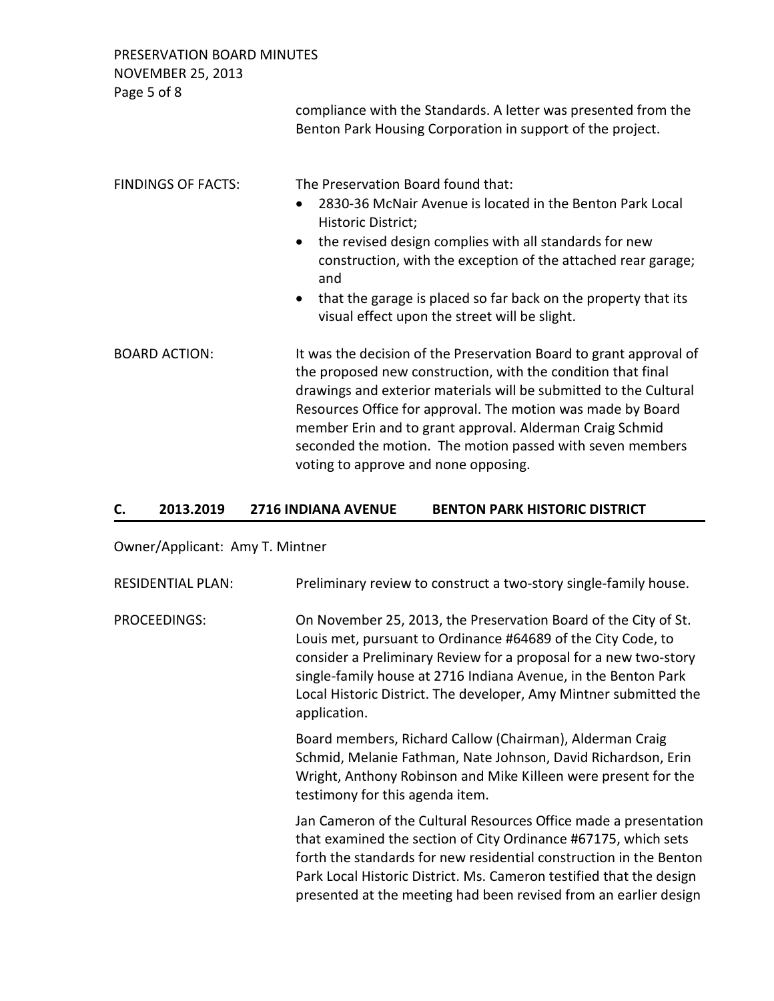PRESERVATION BOARD MINUTES

NOVEMBER 25, 2013

Page 5 of 8

compliance with the Standards. A letter was presented from the Benton Park Housing Corporation in support of the project.

| <b>FINDINGS OF FACTS:</b> | The Preservation Board found that:<br>2830-36 McNair Avenue is located in the Benton Park Local<br>$\bullet$<br>Historic District;<br>the revised design complies with all standards for new<br>$\bullet$<br>construction, with the exception of the attached rear garage;<br>and<br>that the garage is placed so far back on the property that its<br>$\bullet$<br>visual effect upon the street will be slight.                       |  |
|---------------------------|-----------------------------------------------------------------------------------------------------------------------------------------------------------------------------------------------------------------------------------------------------------------------------------------------------------------------------------------------------------------------------------------------------------------------------------------|--|
| <b>BOARD ACTION:</b>      | It was the decision of the Preservation Board to grant approval of<br>the proposed new construction, with the condition that final<br>drawings and exterior materials will be submitted to the Cultural<br>Resources Office for approval. The motion was made by Board<br>member Erin and to grant approval. Alderman Craig Schmid<br>seconded the motion. The motion passed with seven members<br>voting to approve and none opposing. |  |

#### **C. 2013.2019 2716 INDIANA AVENUE BENTON PARK HISTORIC DISTRICT**

## Owner/Applicant: Amy T. Mintner

| <b>RESIDENTIAL PLAN:</b> | Preliminary review to construct a two-story single-family house.                                                                                                                                                                                                                                                                                           |
|--------------------------|------------------------------------------------------------------------------------------------------------------------------------------------------------------------------------------------------------------------------------------------------------------------------------------------------------------------------------------------------------|
| PROCEEDINGS:             | On November 25, 2013, the Preservation Board of the City of St.<br>Louis met, pursuant to Ordinance #64689 of the City Code, to<br>consider a Preliminary Review for a proposal for a new two-story<br>single-family house at 2716 Indiana Avenue, in the Benton Park<br>Local Historic District. The developer, Amy Mintner submitted the<br>application. |
|                          | Board members, Richard Callow (Chairman), Alderman Craig<br>Schmid, Melanie Fathman, Nate Johnson, David Richardson, Erin<br>Wright, Anthony Robinson and Mike Killeen were present for the<br>testimony for this agenda item.                                                                                                                             |
|                          | Jan Cameron of the Cultural Resources Office made a presentation<br>that examined the section of City Ordinance #67175, which sets<br>forth the standards for new residential construction in the Benton<br>Park Local Historic District. Ms. Cameron testified that the design<br>presented at the meeting had been revised from an earlier design        |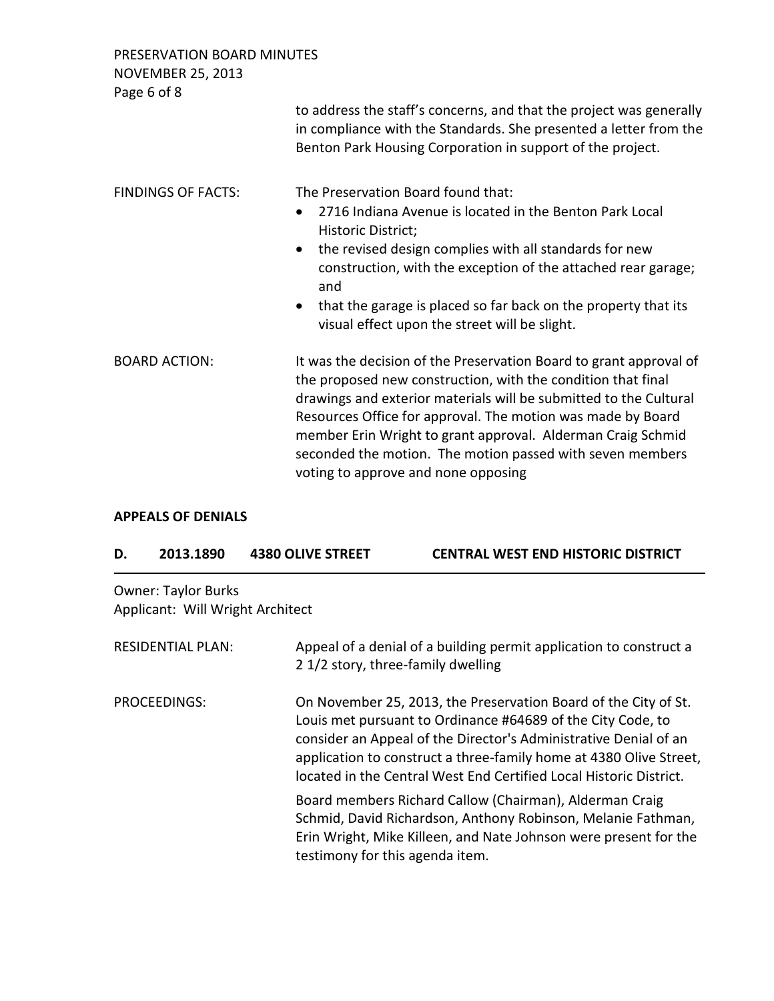PRESERVATION BOARD MINUTES

| <b>NOVEMBER 25, 2013</b> |  |
|--------------------------|--|
| Page60f8                 |  |

| <b>Page 0 01 0</b>        | to address the staff's concerns, and that the project was generally<br>in compliance with the Standards. She presented a letter from the<br>Benton Park Housing Corporation in support of the project.                                                                                                                                                                                                                                    |
|---------------------------|-------------------------------------------------------------------------------------------------------------------------------------------------------------------------------------------------------------------------------------------------------------------------------------------------------------------------------------------------------------------------------------------------------------------------------------------|
| <b>FINDINGS OF FACTS:</b> | The Preservation Board found that:<br>2716 Indiana Avenue is located in the Benton Park Local<br>$\bullet$<br>Historic District;<br>the revised design complies with all standards for new<br>$\bullet$<br>construction, with the exception of the attached rear garage;<br>and<br>that the garage is placed so far back on the property that its<br>$\bullet$<br>visual effect upon the street will be slight.                           |
| <b>BOARD ACTION:</b>      | It was the decision of the Preservation Board to grant approval of<br>the proposed new construction, with the condition that final<br>drawings and exterior materials will be submitted to the Cultural<br>Resources Office for approval. The motion was made by Board<br>member Erin Wright to grant approval. Alderman Craig Schmid<br>seconded the motion. The motion passed with seven members<br>voting to approve and none opposing |

### **APPEALS OF DENIALS**

| D. | 2013.1890 | <b>4380 OLIVE STREET</b> | <b>CENTRAL WEST END HISTORIC DISTRICT</b> |
|----|-----------|--------------------------|-------------------------------------------|
|    |           |                          |                                           |

Owner: Taylor Burks Applicant: Will Wright Architect

| <b>RESIDENTIAL PLAN:</b> | Appeal of a denial of a building permit application to construct a<br>2 1/2 story, three-family dwelling                                                                                                                                                                                                                                       |
|--------------------------|------------------------------------------------------------------------------------------------------------------------------------------------------------------------------------------------------------------------------------------------------------------------------------------------------------------------------------------------|
| PROCEEDINGS:             | On November 25, 2013, the Preservation Board of the City of St.<br>Louis met pursuant to Ordinance #64689 of the City Code, to<br>consider an Appeal of the Director's Administrative Denial of an<br>application to construct a three-family home at 4380 Olive Street,<br>located in the Central West End Certified Local Historic District. |
|                          | Board members Richard Callow (Chairman), Alderman Craig<br>Schmid, David Richardson, Anthony Robinson, Melanie Fathman,<br>Erin Wright, Mike Killeen, and Nate Johnson were present for the<br>testimony for this agenda item.                                                                                                                 |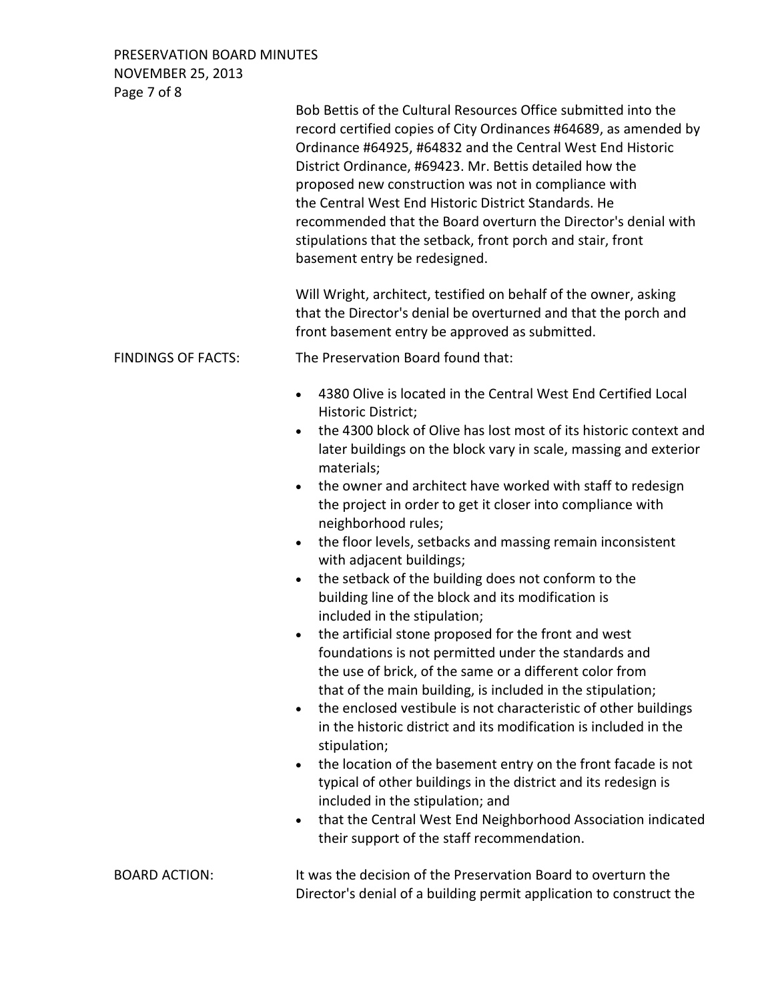PRESERVATION BOARD MINUTES NOVEMBER 25, 2013 Page 7 of 8

|                           | Bob Bettis of the Cultural Resources Office submitted into the<br>record certified copies of City Ordinances #64689, as amended by<br>Ordinance #64925, #64832 and the Central West End Historic<br>District Ordinance, #69423. Mr. Bettis detailed how the<br>proposed new construction was not in compliance with<br>the Central West End Historic District Standards. He<br>recommended that the Board overturn the Director's denial with<br>stipulations that the setback, front porch and stair, front<br>basement entry be redesigned.                                                                                                                                                                                                                                                                                                                                                                                                                                                                                                                                                                                                                                                                                                                                                                                                                                                                        |
|---------------------------|----------------------------------------------------------------------------------------------------------------------------------------------------------------------------------------------------------------------------------------------------------------------------------------------------------------------------------------------------------------------------------------------------------------------------------------------------------------------------------------------------------------------------------------------------------------------------------------------------------------------------------------------------------------------------------------------------------------------------------------------------------------------------------------------------------------------------------------------------------------------------------------------------------------------------------------------------------------------------------------------------------------------------------------------------------------------------------------------------------------------------------------------------------------------------------------------------------------------------------------------------------------------------------------------------------------------------------------------------------------------------------------------------------------------|
|                           | Will Wright, architect, testified on behalf of the owner, asking<br>that the Director's denial be overturned and that the porch and<br>front basement entry be approved as submitted.                                                                                                                                                                                                                                                                                                                                                                                                                                                                                                                                                                                                                                                                                                                                                                                                                                                                                                                                                                                                                                                                                                                                                                                                                                |
| <b>FINDINGS OF FACTS:</b> | The Preservation Board found that:                                                                                                                                                                                                                                                                                                                                                                                                                                                                                                                                                                                                                                                                                                                                                                                                                                                                                                                                                                                                                                                                                                                                                                                                                                                                                                                                                                                   |
|                           | 4380 Olive is located in the Central West End Certified Local<br>Historic District;<br>the 4300 block of Olive has lost most of its historic context and<br>$\bullet$<br>later buildings on the block vary in scale, massing and exterior<br>materials;<br>the owner and architect have worked with staff to redesign<br>the project in order to get it closer into compliance with<br>neighborhood rules;<br>the floor levels, setbacks and massing remain inconsistent<br>$\bullet$<br>with adjacent buildings;<br>the setback of the building does not conform to the<br>$\bullet$<br>building line of the block and its modification is<br>included in the stipulation;<br>the artificial stone proposed for the front and west<br>$\bullet$<br>foundations is not permitted under the standards and<br>the use of brick, of the same or a different color from<br>that of the main building, is included in the stipulation;<br>the enclosed vestibule is not characteristic of other buildings<br>$\bullet$<br>in the historic district and its modification is included in the<br>stipulation;<br>the location of the basement entry on the front facade is not<br>$\bullet$<br>typical of other buildings in the district and its redesign is<br>included in the stipulation; and<br>that the Central West End Neighborhood Association indicated<br>$\bullet$<br>their support of the staff recommendation. |
| <b>BOARD ACTION:</b>      | It was the decision of the Preservation Board to overturn the<br>Director's denial of a building permit application to construct the                                                                                                                                                                                                                                                                                                                                                                                                                                                                                                                                                                                                                                                                                                                                                                                                                                                                                                                                                                                                                                                                                                                                                                                                                                                                                 |